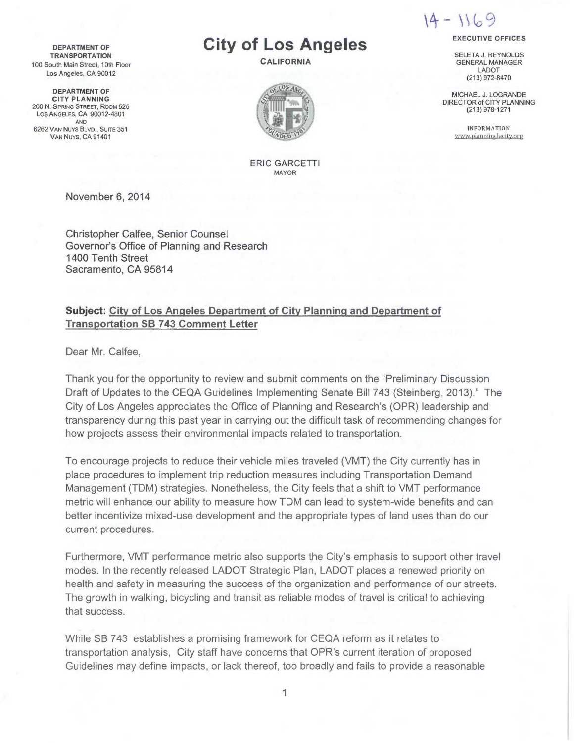$14 - 1169$ 

EXECUTIVE OFFICES SELETA J. REYNOLDS GENERAL MANAGER LADOT (213) 972-8470 MICHAEL J. LOGRANDE DIRECTOR of CITY PLANNING (213) 978-1271 INFORMATION www.planning.lacitv.org

DEPARTMENT OF **TRANSPORTATION** 100 South Main Street, 10th Floor Los Angeles, CA 90012

DEPARTMENT OF CITY PLANNING 200 N. SPRING STREET, Room 525 Los ANGELES, CA 90012-4801 AND 6262 VAN Nuys BLVD., SUITE 351 VAN Nuys, CA 91401

# City of Los Angeles

CALIFORNIA



ERIC GARCETTI MAYOR

November 6, 2014

Christopher Calfee, Senior Counsel Governor's Office of Planning and Research 1400 Tenth Street Sacramento, CA 95814

## Subject: City of Los Angeles Department of City Planning and Department of Transportation SB 743 Comment Letter

Dear Mr. Calfee,

Thank you for the opportunity to review and submit comments on the "Preliminary Discussion Draft of Updates to the CEQA Guidelines Implementing Senate Bill 743 (Steinberg, 2013)." The City of Los Angeles appreciates the Office of Planning and Research's (OPR) leadership and transparency during this past year in carrying out the difficult task of recommending changes for how projects assess their environmental impacts related to transportation.

To encourage projects to reduce their vehicle miles traveled (VMT) the City currently has in place procedures to implement trip reduction measures including Transportation Demand Management (TDM) strategies. Nonetheless, the City feels that a shift to VMT performance metric will enhance our ability to measure how TDM can lead to system-wide benefits and can better incentivize mixed-use development and the appropriate types of land uses than do our current procedures.

Furthermore, VMT performance metric also supports the City's emphasis to support other travel modes. In the recently released LADOT Strategic Plan, LADOT places a renewed priority on health and safety in measuring the success of the organization and performance of our streets. The growth in walking, bicycling and transit as reliable modes of travel is critical to achieving that success.

While SB 743 establishes a promising framework for CEQA reform as it relates to transportation analysis, City staff have concerns that OPR's current iteration of proposed Guidelines may define impacts, or lack thereof, too broadly and fails to provide a reasonable

1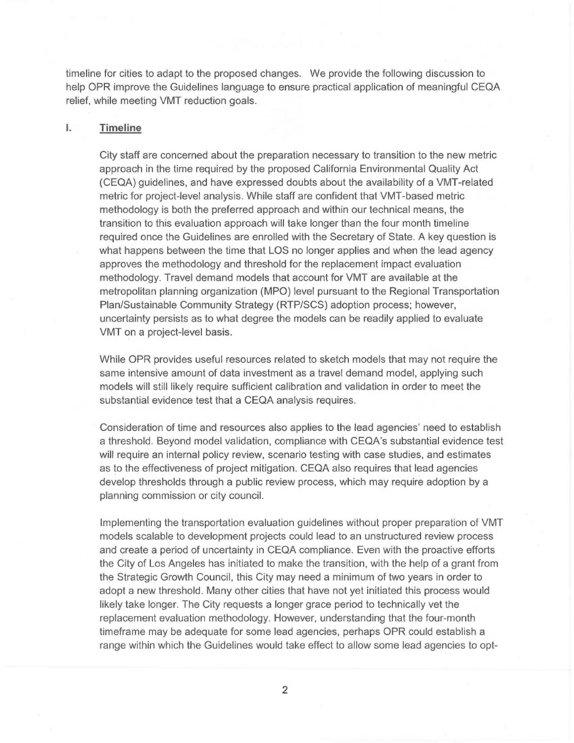timeline for cities to adapt to the proposed changes. We provide the following discussion to help OPR improve the Guidelines language to ensure practical application of meaningful CEQA relief, while meeting VMT reduction goals.

#### I. Timeline

City staff are concerned about the preparation necessary to transition to the new metric approach in the time required by the proposed California Environmental Quality Act (CEQA) guidelines, and have expressed doubts about the availability of a VMT-related metric for project-level analysis. While staff are confident that VMT-based metric methodology is both the preferred approach and within our technical means, the transition to this evaluation approach will take longer than the four month timeline required once the Guidelines are enrolled with the Secretary of State. A key question is what happens between the time that LOS no longer applies and when the lead agency approves the methodology and threshold for the replacement impact evaluation methodology. Travel demand models that account for VMT are available at the metropolitan planning organization (MPO) level pursuant to the Regional Transportation Plan/Sustainable Community Strategy (RTP/SCS) adoption process; however, uncertainty persists as to what degree the models can be readily applied to evaluate VMT on a project-level basis.

While OPR provides useful resources related to sketch models that may not require the same intensive amount of data investment as a travel demand model, applying such models will still likely require sufficient calibration and validation in order to meet the substantial evidence test that a CEQA analysis requires.

Consideration of time and resources also applies to the lead agencies' need to establish a threshold. Beyond model validation, compliance with CEQA's substantial evidence test will require an internal policy review, scenario testing with case studies, and estimates as to the effectiveness of project mitigation. CEQA also requires that lead agencies develop thresholds through a public review process, which may require adoption by a planning commission or city council.

Implementing the transportation evaluation guidelines without proper preparation of VMT models scalable to development projects could lead to an unstructured review process and create a period of uncertainty in CEQA compliance. Even with the proactive efforts the City of Los Angeles has initiated to make the transition, with the help of a grant from the Strategic Growth Council, this City may need a minimum of two years in order to adopt a new threshold. Many other cities that have not yet initiated this process would likely take longer. The City requests a longer grace period to technically vet the replacement evaluation methodology. However, understanding that the four-month timeframe may be adequate for some lead agencies, perhaps OPR could establish a range within which the Guidelines would take effect to allow some lead agencies to opt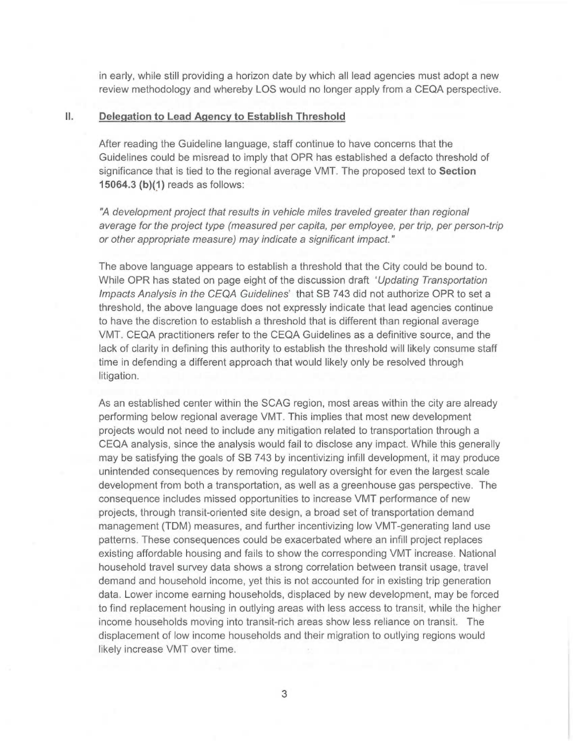in early, while still providing a horizon date by which all lead agencies must adopt a new review methodology and whereby LOS would no longer apply from a CEQA perspective.

#### II. Delegation to Lead Agency to Establish Threshold

After reading the Guideline language, staff continue to have concerns that the Guidelines could be misread to imply that OPR has established a defacto threshold of significance that is tied to the regional average VMT. The proposed text to Section 15064.3 (b)(1) reads as follows:

"A development project that results in vehicle miles traveled greater than regional average for the project type (measured per capita, per employee, per trip, per person-trip or other appropriate measure) may indicate a significant impact."

The above language appears to establish a threshold that the City could be bound to. While OPR has stated on page eight of the discussion draft 'Updating Transportation' Impacts Analysis in the CEQA Guidelines' that SB 743 did not authorize OPR to set a threshold, the above language does not expressly indicate that lead agencies continue to have the discretion to establish a threshold that is different than regional average VMT. CEQA practitioners refer to the CEQA Guidelines as a definitive source, and the lack of clarity in defining this authority to establish the threshold will likely consume staff time in defending a different approach that would likely only be resolved through litigation.

As an established center within the SCAG region, most areas within the city are already performing below regional average VMT. This implies that most new development projects would not need to include any mitigation related to transportation through a CEQA analysis, since the analysis would fail to disclose any impact. While this generally may be satisfying the goals of SB 743 by incentivizing infill development, it may produce unintended consequences by removing regulatory oversight for even the largest scale development from both a transportation, as well as a greenhouse gas perspective. The consequence includes missed opportunities to increase VMT performance of new projects, through transit-oriented site design, a broad set of transportation demand management (TDM) measures, and further incentivizing low VMT-generating land use patterns. These consequences could be exacerbated where an infill project replaces existing affordable housing and fails to show the corresponding VMT increase. National household travel survey data shows a strong correlation between transit usage, travel demand and household income, yet this is not accounted for in existing trip generation data. Lower income earning households, displaced by new development, may be forced to find replacement housing in outlying areas with less access to transit, while the higher income households moving into transit-rich areas show less reliance on transit. The displacement of low income households and their migration to outlying regions would likely increase VMT over time.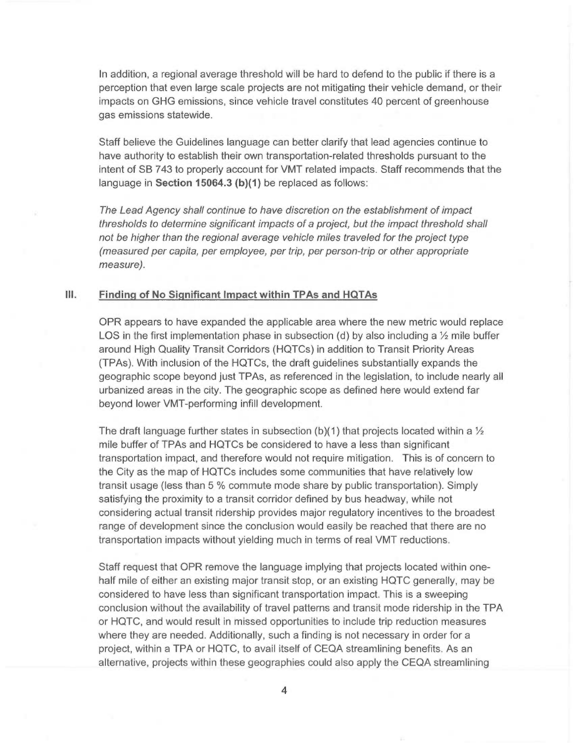In addition, a regional average threshold will be hard to defend to the public if there is a perception that even large scale projects are not mitigating their vehicle demand, or their impacts on GHG emissions, since vehicle travel constitutes 40 percent of greenhouse gas emissions statewide.

Staff believe the Guidelines language can better clarify that lead agencies continue to have authority to establish their own transportation-related thresholds pursuant to the intent of SB 743 to properly account for VMT related impacts. Staff recommends that the language in Section 15064.3 (b)(1) be replaced as follows:

The Lead Agency shall continue to have discretion on the establishment of impact thresholds to determine significant impacts of a project, but the impact threshold shall not be higher than the regional average vehicle miles traveled for the project type (measured per capita, per employee, per trip, per person-trip or other appropriate measure).

## III. Finding of No Significant Impact within TPAs and HQTAs

OPR appears to have expanded the applicable area where the new metric would replace LOS in the first implementation phase in subsection (d) by also including a  $\frac{1}{2}$  mile buffer around High Quality Transit Corridors (HQTCs) in addition to Transit Priority Areas (TPAs). With inclusion of the HQTCs, the draft guidelines substantially expands the geographic scope beyond just TPAs, as referenced in the legislation, to include nearly all urbanized areas in the city. The geographic scope as defined here would extend far beyond lower VMT-performing infill development.

The draft language further states in subsection (b)(1) that projects located within a  $\frac{1}{2}$ mile buffer of TPAs and HQTCs be considered to have a less than significant transportation impact, and therefore would not require mitigation. This is of concern to the City as the map of HQTCs includes some communities that have relatively low transit usage (less than 5 % commute mode share by public transportation). Simply satisfying the proximity to a transit corridor defined by bus headway, while not considering actual transit ridership provides major regulatory incentives to the broadest range of development since the conclusion would easily be reached that there are no transportation impacts without yielding much in terms of real VMT reductions.

Staff request that OPR remove the language implying that projects located within onehalf mile of either an existing major transit stop, or an existing HQTC generally, may be considered to have less than significant transportation impact. This is a sweeping conclusion without the availability of travel patterns and transit mode ridership in the TPA or HQTC, and would result in missed opportunities to include trip reduction measures where they are needed. Additionally, such a finding is not necessary in order for a project, within a TPA or HQTC, to avail itself of CEQA streamlining benefits. As an alternative, projects within these geographies could also apply the CEQA streamlining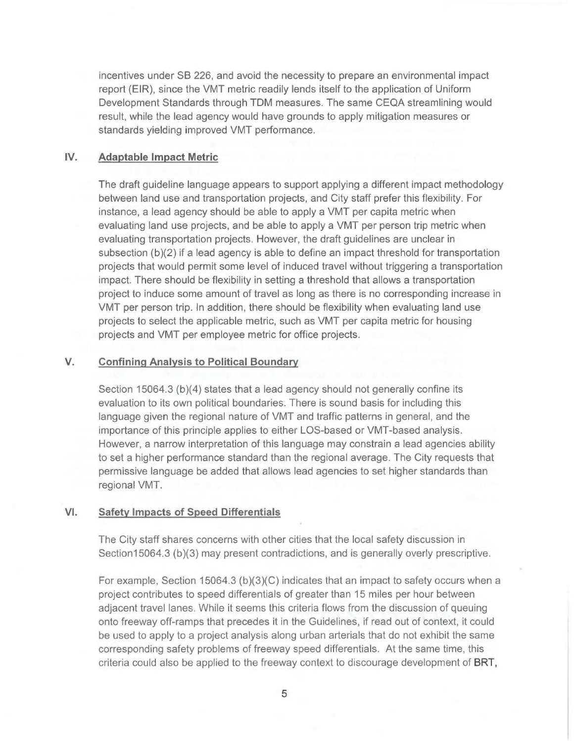incentives under SB 226, and avoid the necessity to prepare an environmental impact report (EIR), since the VMT metric readily lends itself to the application of Uniform Development Standards through TDM measures. The same CEQA streamlining would result, while the lead agency would have grounds to apply mitigation measures or standards yielding improved VMT performance.

#### IV. Adaptable Impact Metric

The draft guideline language appears to support applying a different impact methodology between land use and transportation projects, and City staff prefer this flexibility. For instance, a lead agency should be able to apply a VMT per capita metric when evaluating land use projects, and be able to apply a VMT per person trip metric when evaluating transportation projects. However, the draft guidelines are unclear in subsection (b)(2) if a lead agency is able to define an impact threshold for transportation projects that would permit some level of induced travel without triggering a transportation impact. There should be flexibility in setting a threshold that allows a transportation project to induce some amount of travel as long as there is no corresponding increase in VMT per person trip. In addition, there should be flexibility when evaluating land use projects to select the applicable metric, such as VMT per capita metric for housing projects and VMT per employee metric for office projects.

## V. Confining Analysis to Political Boundary

Section 15064.3 (b)(4) states that a lead agency should not generally confine its evaluation to its own political boundaries. There is sound basis for including this language given the regional nature of VMT and traffic patterns in general, and the importance of this principle applies to either LOS-based or VMT-based analysis. However, a narrow interpretation of this language may constrain a lead agencies ability to set a higher performance standard than the regional average. The City requests that permissive language be added that allows lead agencies to set higher standards than regional VMT.

## VI. Safety Impacts of Speed Differentials

The City staff shares concerns with other cities that the local safety discussion in Section15064.3 (b)(3) may present contradictions, and is generally overly prescriptive.

For example, Section 15064.3 (b) $(3)(C)$  indicates that an impact to safety occurs when a project contributes to speed differentials of greater than 15 miles per hour between adjacent travel lanes. While it seems this criteria flows from the discussion of queuing onto freeway off-ramps that precedes it in the Guidelines, if read out of context, it could be used to apply to a project analysis along urban arterials that do not exhibit the same corresponding safety problems of freeway speed differentials. At the same time, this criteria could also be applied to the freeway context to discourage development of BRT,